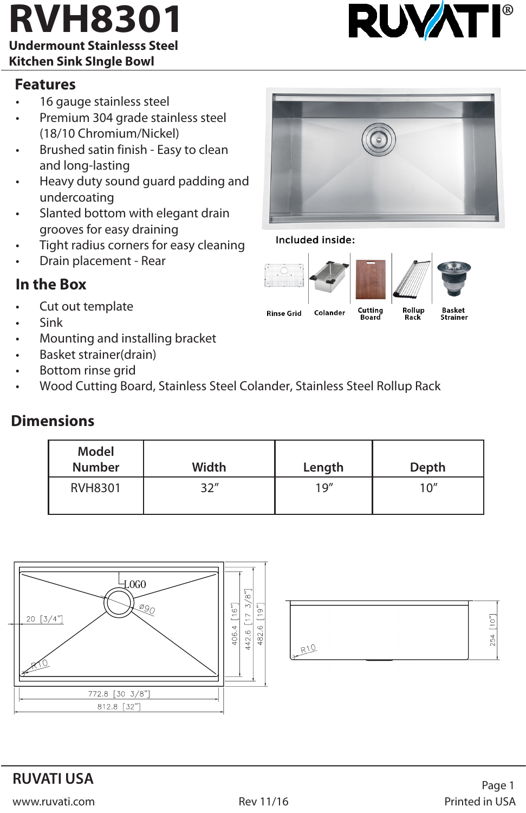# **RVH8301 BUVATI**

#### **Undermount Stainlesss Steel Kitchen Sink SIngle Bowl**

#### **Features**

- 16 gauge stainless steel
- Premium 304 grade stainless steel (18/10 Chromium/Nickel)
- Brushed satin finish Easy to clean and long-lasting
- Heavy duty sound guard padding and undercoating
- Slanted bottom with elegant drain grooves for easy draining
- Tight radius corners for easy cleaning
- Drain placement Rear

### **In the Box**

- Cut out template
- Sink
- Mounting and installing bracket
- Basket strainer(drain)
- Bottom rinse grid
- Wood Cutting Board, Stainless Steel Colander, Stainless Steel Rollup Rack

#### **Dimensions**

| Model<br><b>Number</b> | Width | Length | Depth |
|------------------------|-------|--------|-------|
| RVH8301                | 3つ"   | 19''   | 10''  |











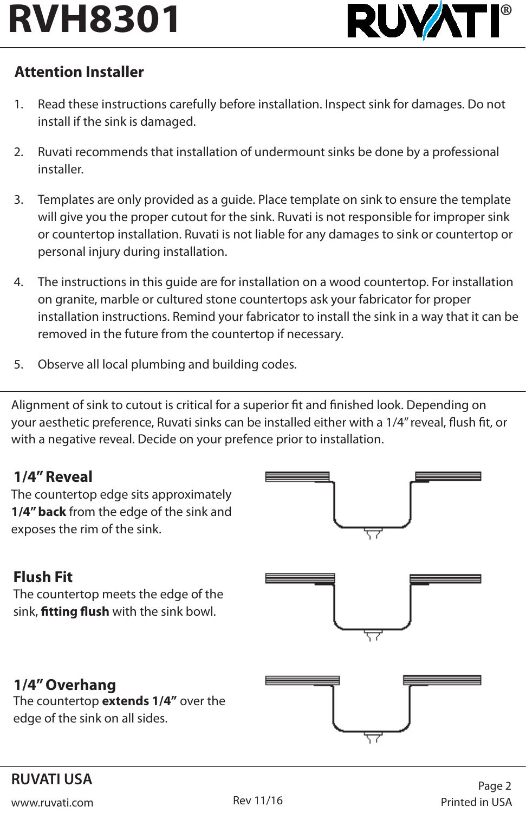

# **Attention Installer**

- 1. Read these instructions carefully before installation. Inspect sink for damages. Do not install if the sink is damaged.
- 2. Ruvati recommends that installation of undermount sinks be done by a professional installer.
- 3. Templates are only provided as a guide. Place template on sink to ensure the template will give you the proper cutout for the sink. Ruvati is not responsible for improper sink or countertop installation. Ruvati is not liable for any damages to sink or countertop or personal injury during installation.
- 4. The instructions in this guide are for installation on a wood countertop. For installation on granite, marble or cultured stone countertops ask your fabricator for proper installation instructions. Remind your fabricator to install the sink in a way that it can be removed in the future from the countertop if necessary.
- 5. Observe all local plumbing and building codes.

Alignment of sink to cutout is critical for a superior fit and finished look. Depending on your aesthetic preference, Ruvati sinks can be installed either with a 1/4" reveal, flush fit, or with a negative reveal. Decide on your prefence prior to installation.

### **1/4" Reveal**

The countertop edge sits approximately **1/4" back** from the edge of the sink and exposes the rim of the sink.



# **Flush Fit**

The countertop meets the edge of the sink, **fitting flush** with the sink bowl.



### **1/4" Overhang**

The countertop **extends 1/4"** over the edge of the sink on all sides.



# **RUVATI USA**

www.ruvati.com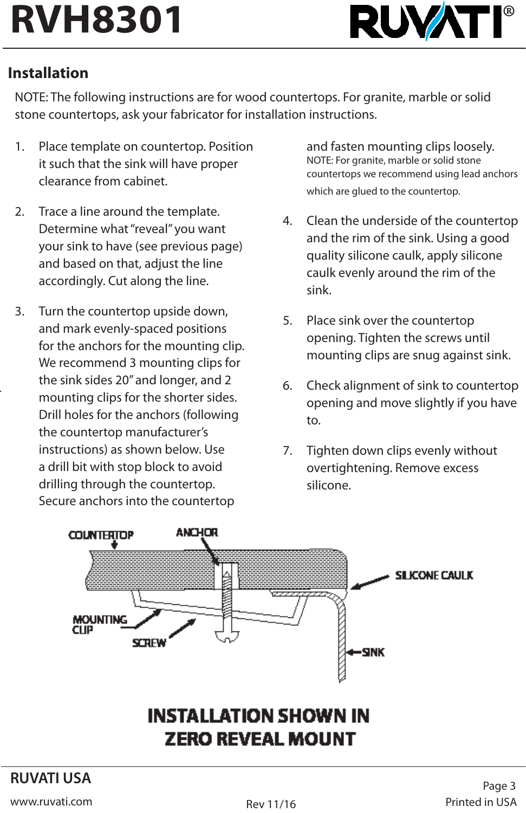

### **Installation**

NOTE: The following instructions are for wood countertops. For granite, marble or solid stone countertops, ask your fabricator for installation instructions.

- 1. Place template on countertop. Position it such that the sink will have proper clearance from cabinet.
- 2. Trace a line around the template. Determine what "reveal" you want your sink to have (see previous page) and based on that, adjust the line accordingly. Cut along the line.
- 3. Turn the countertop upside down, and mark evenly-spaced positions for the anchors for the mounting clip. We recommend 3 mounting clips for the sink sides 20" and longer, and 2 mounting clips for the shorter sides. Drill holes for the anchors (following the countertop manufacturer's instructions) as shown below. Use a drill bit with stop block to avoid drilling through the countertop. Secure anchors into the countertop

and fasten mounting clips loosely. NOTE: For granite, marble or solid stone countertops we recommend using lead anchors which are glued to the countertop.

- 4. Clean the underside of the countertop and the rim of the sink. Using a good quality silicone caulk, apply silicone caulk evenly around the rim of the sink.
- 5. Place sink over the countertop opening. Tighten the screws until mounting clips are snug against sink.
- 6. Check alignment of sink to countertop opening and move slightly if you have to.
- 7. Tighten down clips evenly without overtightening. Remove excess silicone.



# **INSTALLATION SHOWN IN ZERO REVEAL MOUNT**